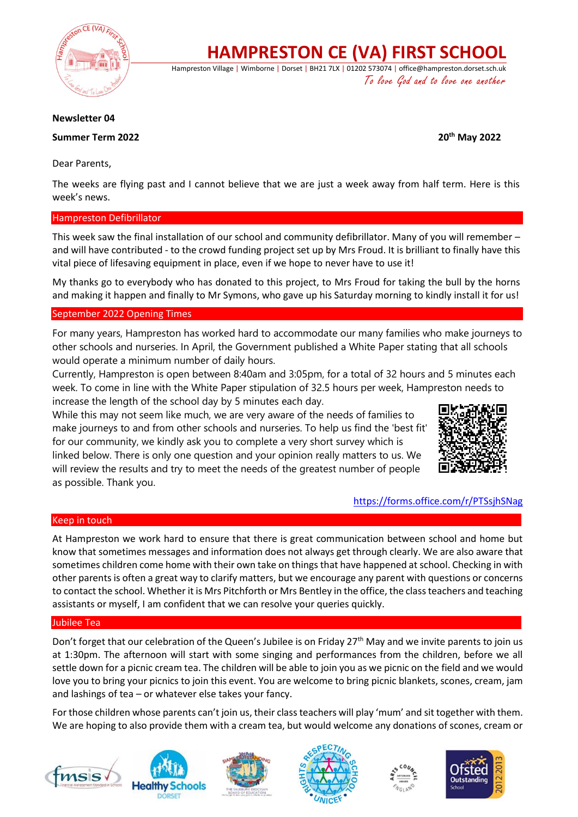

**HAMPRESTON CE (VA) FIRST SCHOOL**

Hampreston Village | Wimborne | Dorset | BH21 7LX | 01202 573074 | office@hampreston.dorset.sch.uk To love God and to love one another

# **Newsletter 04**

# **Summer Term 2022 20th May 2022**

Dear Parents,

The weeks are flying past and I cannot believe that we are just a week away from half term. Here is this week's news.

## Hampreston Defibrillator

This week saw the final installation of our school and community defibrillator. Many of you will remember – and will have contributed - to the crowd funding project set up by Mrs Froud. It is brilliant to finally have this vital piece of lifesaving equipment in place, even if we hope to never have to use it!

My thanks go to everybody who has donated to this project, to Mrs Froud for taking the bull by the horns and making it happen and finally to Mr Symons, who gave up his Saturday morning to kindly install it for us!

### September 2022 Opening Times

For many years, Hampreston has worked hard to accommodate our many families who make journeys to other schools and nurseries. In April, the Government published a White Paper stating that all schools would operate a minimum number of daily hours.

Currently, Hampreston is open between 8:40am and 3:05pm, for a total of 32 hours and 5 minutes each week. To come in line with the White Paper stipulation of 32.5 hours per week, Hampreston needs to increase the length of the school day by 5 minutes each day.

While this may not seem like much, we are very aware of the needs of families to make journeys to and from other schools and nurseries. To help us find the 'best fit' for our community, we kindly ask you to complete a very short survey which is linked below. There is only one question and your opinion really matters to us. We will review the results and try to meet the needs of the greatest number of people



<https://forms.office.com/r/PTSsjhSNag>

### Keep in touch

as possible. Thank you.

At Hampreston we work hard to ensure that there is great communication between school and home but know that sometimes messages and information does not always get through clearly. We are also aware that sometimes children come home with their own take on things that have happened at school. Checking in with other parents is often a great way to clarify matters, but we encourage any parent with questions or concerns to contact the school. Whether it is Mrs Pitchforth or Mrs Bentley in the office, the class teachers and teaching assistants or myself, I am confident that we can resolve your queries quickly.

### Jubilee Tea

Don't forget that our celebration of the Queen's Jubilee is on Friday 27<sup>th</sup> May and we invite parents to join us at 1:30pm. The afternoon will start with some singing and performances from the children, before we all settle down for a picnic cream tea. The children will be able to join you as we picnic on the field and we would love you to bring your picnics to join this event. You are welcome to bring picnic blankets, scones, cream, jam and lashings of tea – or whatever else takes your fancy.

For those children whose parents can't join us, their class teachers will play 'mum' and sit together with them. We are hoping to also provide them with a cream tea, but would welcome any donations of scones, cream or











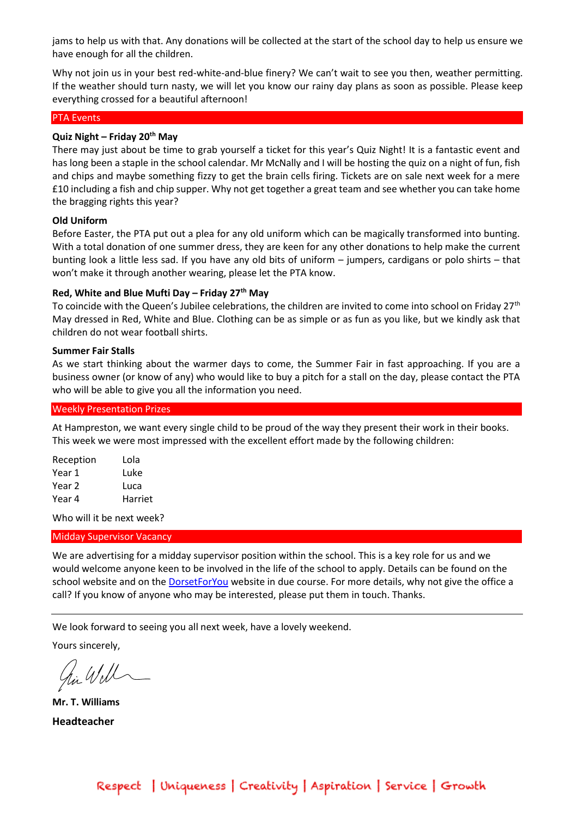jams to help us with that. Any donations will be collected at the start of the school day to help us ensure we have enough for all the children.

Why not join us in your best red-white-and-blue finery? We can't wait to see you then, weather permitting. If the weather should turn nasty, we will let you know our rainy day plans as soon as possible. Please keep everything crossed for a beautiful afternoon!

#### PTA Events

# **Quiz Night – Friday 20th May**

There may just about be time to grab yourself a ticket for this year's Quiz Night! It is a fantastic event and has long been a staple in the school calendar. Mr McNally and I will be hosting the quiz on a night of fun, fish and chips and maybe something fizzy to get the brain cells firing. Tickets are on sale next week for a mere £10 including a fish and chip supper. Why not get together a great team and see whether you can take home the bragging rights this year?

## **Old Uniform**

Before Easter, the PTA put out a plea for any old uniform which can be magically transformed into bunting. With a total donation of one summer dress, they are keen for any other donations to help make the current bunting look a little less sad. If you have any old bits of uniform – jumpers, cardigans or polo shirts – that won't make it through another wearing, please let the PTA know.

# **Red, White and Blue Mufti Day – Friday 27th May**

To coincide with the Queen's Jubilee celebrations, the children are invited to come into school on Friday 27<sup>th</sup> May dressed in Red, White and Blue. Clothing can be as simple or as fun as you like, but we kindly ask that children do not wear football shirts.

#### **Summer Fair Stalls**

As we start thinking about the warmer days to come, the Summer Fair in fast approaching. If you are a business owner (or know of any) who would like to buy a pitch for a stall on the day, please contact the PTA who will be able to give you all the information you need.

#### Weekly Presentation Prizes

At Hampreston, we want every single child to be proud of the way they present their work in their books. This week we were most impressed with the excellent effort made by the following children:

| Reception | Lola    |
|-----------|---------|
| Year 1    | Luke    |
| Year 2    | Luca    |
| Year 4    | Harriet |

Who will it be next week?

### Midday Supervisor Vacancy

We are advertising for a midday supervisor position within the school. This is a key role for us and we would welcome anyone keen to be involved in the life of the school to apply. Details can be found on the school website and on th[e DorsetForYou](https://jobs.dorsetforyou.gov.uk/school-support-staff-schools-midday-supervisor-fixed-term-hampreston-ce-va-first-school/33718.job) website in due course. For more details, why not give the office a call? If you know of anyone who may be interested, please put them in touch. Thanks.

We look forward to seeing you all next week, have a lovely weekend.

Yours sincerely,

hi Will

**Mr. T. Williams Headteacher**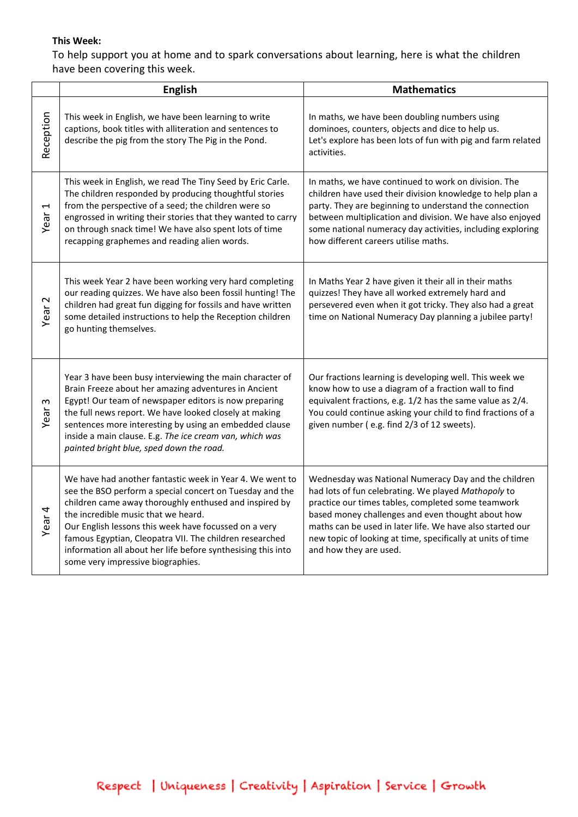# **This Week:**

To help support you at home and to spark conversations about learning, here is what the children have been covering this week.

|                   | <b>English</b>                                                                                                                                                                                                                                                                                                                                                                                                                                 | <b>Mathematics</b>                                                                                                                                                                                                                                                                                                                                                           |
|-------------------|------------------------------------------------------------------------------------------------------------------------------------------------------------------------------------------------------------------------------------------------------------------------------------------------------------------------------------------------------------------------------------------------------------------------------------------------|------------------------------------------------------------------------------------------------------------------------------------------------------------------------------------------------------------------------------------------------------------------------------------------------------------------------------------------------------------------------------|
| Reception         | This week in English, we have been learning to write<br>captions, book titles with alliteration and sentences to<br>describe the pig from the story The Pig in the Pond.                                                                                                                                                                                                                                                                       | In maths, we have been doubling numbers using<br>dominoes, counters, objects and dice to help us.<br>Let's explore has been lots of fun with pig and farm related<br>activities.                                                                                                                                                                                             |
| 1<br>Year         | This week in English, we read The Tiny Seed by Eric Carle.<br>The children responded by producing thoughtful stories<br>from the perspective of a seed; the children were so<br>engrossed in writing their stories that they wanted to carry<br>on through snack time! We have also spent lots of time<br>recapping graphemes and reading alien words.                                                                                         | In maths, we have continued to work on division. The<br>children have used their division knowledge to help plan a<br>party. They are beginning to understand the connection<br>between multiplication and division. We have also enjoyed<br>some national numeracy day activities, including exploring<br>how different careers utilise maths.                              |
| Year <sub>2</sub> | This week Year 2 have been working very hard completing<br>our reading quizzes. We have also been fossil hunting! The<br>children had great fun digging for fossils and have written<br>some detailed instructions to help the Reception children<br>go hunting themselves.                                                                                                                                                                    | In Maths Year 2 have given it their all in their maths<br>quizzes! They have all worked extremely hard and<br>persevered even when it got tricky. They also had a great<br>time on National Numeracy Day planning a jubilee party!                                                                                                                                           |
| S<br>Year         | Year 3 have been busy interviewing the main character of<br>Brain Freeze about her amazing adventures in Ancient<br>Egypt! Our team of newspaper editors is now preparing<br>the full news report. We have looked closely at making<br>sentences more interesting by using an embedded clause<br>inside a main clause. E.g. The ice cream van, which was<br>painted bright blue, sped down the road.                                           | Our fractions learning is developing well. This week we<br>know how to use a diagram of a fraction wall to find<br>equivalent fractions, e.g. 1/2 has the same value as 2/4.<br>You could continue asking your child to find fractions of a<br>given number (e.g. find 2/3 of 12 sweets).                                                                                    |
| Year <sub>4</sub> | We have had another fantastic week in Year 4. We went to<br>see the BSO perform a special concert on Tuesday and the<br>children came away thoroughly enthused and inspired by<br>the incredible music that we heard.<br>Our English lessons this week have focussed on a very<br>famous Egyptian, Cleopatra VII. The children researched<br>information all about her life before synthesising this into<br>some very impressive biographies. | Wednesday was National Numeracy Day and the children<br>had lots of fun celebrating. We played Mathopoly to<br>practice our times tables, completed some teamwork<br>based money challenges and even thought about how<br>maths can be used in later life. We have also started our<br>new topic of looking at time, specifically at units of time<br>and how they are used. |